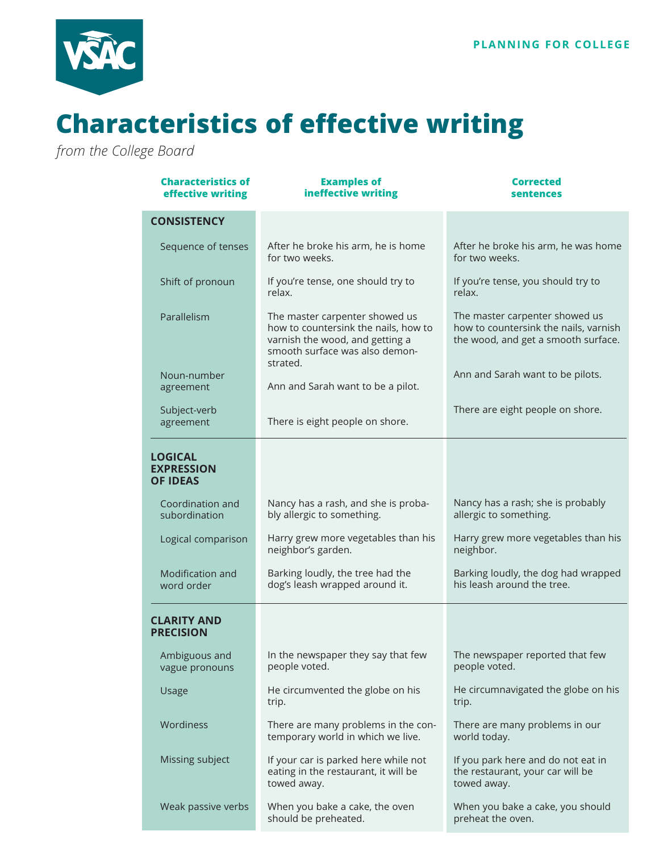

## **Characteristics of effective writing**

*from the College Board*

| <b>Characteristics of</b><br>effective writing         | <b>Examples of</b><br>ineffective writing                                                                                                               | <b>Corrected</b><br>sentences                                                                                  |
|--------------------------------------------------------|---------------------------------------------------------------------------------------------------------------------------------------------------------|----------------------------------------------------------------------------------------------------------------|
| <b>CONSISTENCY</b>                                     |                                                                                                                                                         |                                                                                                                |
| Sequence of tenses                                     | After he broke his arm, he is home<br>for two weeks.                                                                                                    | After he broke his arm, he was home<br>for two weeks.                                                          |
| Shift of pronoun                                       | If you're tense, one should try to<br>relax.                                                                                                            | If you're tense, you should try to<br>relax.                                                                   |
| Parallelism                                            | The master carpenter showed us<br>how to countersink the nails, how to<br>varnish the wood, and getting a<br>smooth surface was also demon-<br>strated. | The master carpenter showed us<br>how to countersink the nails, varnish<br>the wood, and get a smooth surface. |
| Noun-number<br>agreement                               | Ann and Sarah want to be a pilot.                                                                                                                       | Ann and Sarah want to be pilots.                                                                               |
| Subject-verb<br>agreement                              | There is eight people on shore.                                                                                                                         | There are eight people on shore.                                                                               |
| <b>LOGICAL</b><br><b>EXPRESSION</b><br><b>OF IDEAS</b> |                                                                                                                                                         |                                                                                                                |
| Coordination and<br>subordination                      | Nancy has a rash, and she is proba-<br>bly allergic to something.                                                                                       | Nancy has a rash; she is probably<br>allergic to something.                                                    |
| Logical comparison                                     | Harry grew more vegetables than his<br>neighbor's garden.                                                                                               | Harry grew more vegetables than his<br>neighbor.                                                               |
| Modification and<br>word order                         | Barking loudly, the tree had the<br>dog's leash wrapped around it.                                                                                      | Barking loudly, the dog had wrapped<br>his leash around the tree.                                              |
| <b>CLARITY AND</b><br><b>PRECISION</b>                 |                                                                                                                                                         |                                                                                                                |
| Ambiguous and<br>vague pronouns                        | In the newspaper they say that few<br>people voted.                                                                                                     | The newspaper reported that few<br>people voted.                                                               |
| Usage                                                  | He circumvented the globe on his<br>trip.                                                                                                               | He circumnavigated the globe on his<br>trip.                                                                   |
| Wordiness                                              | There are many problems in the con-<br>temporary world in which we live.                                                                                | There are many problems in our<br>world today.                                                                 |
| Missing subject                                        | If your car is parked here while not<br>eating in the restaurant, it will be<br>towed away.                                                             | If you park here and do not eat in<br>the restaurant, your car will be<br>towed away.                          |
| Weak passive verbs                                     | When you bake a cake, the oven<br>should be preheated.                                                                                                  | When you bake a cake, you should<br>preheat the oven.                                                          |